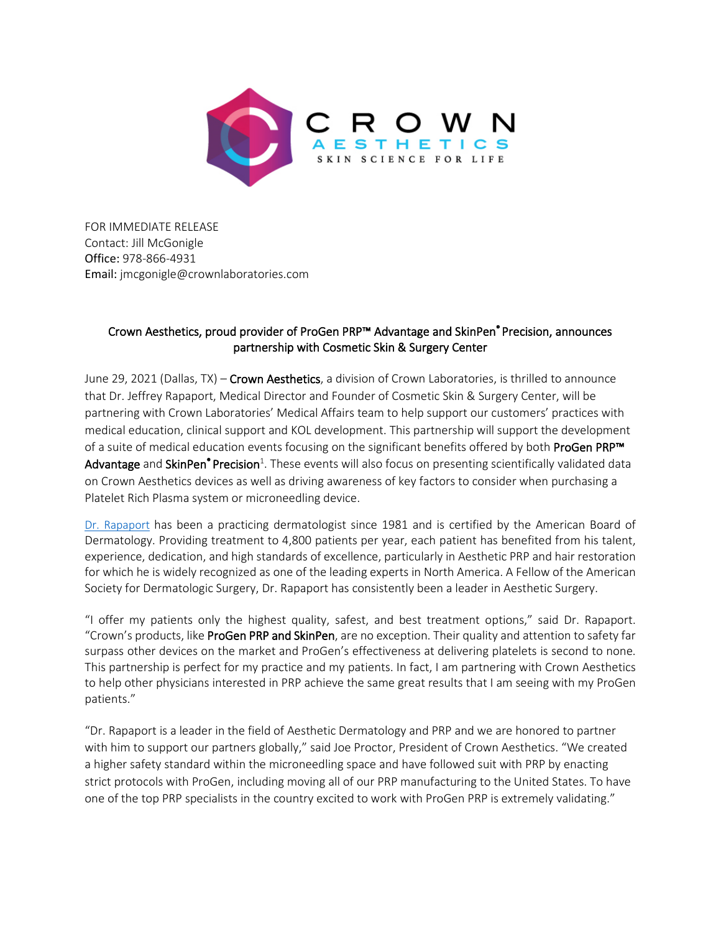

FOR IMMEDIATE RELEASE Contact: Jill McGonigle Office: 978-866-4931 Email: jmcgonigle@crownlaboratories.com

## Crown Aesthetics, proud provider of ProGen PRP™ Advantage and SkinPen® Precision, announces partnership with Cosmetic Skin & Surgery Center

June 29, 2021 (Dallas, TX) – Crown Aesthetics, a division of Crown Laboratories, is thrilled to announce that Dr. Jeffrey Rapaport, Medical Director and Founder of Cosmetic Skin & Surgery Center, will be partnering with Crown Laboratories' Medical Affairs team to help support our customers' practices with medical education, clinical support and KOL development. This partnership will support the development of a suite of medical education events focusing on the significant benefits offered by both ProGen PRP<sup>™</sup> Advantage and SkinPen<sup>®</sup> Precision<sup>1</sup>. These events will also focus on presenting scientifically validated data on Crown Aesthetics devices as well as driving awareness of key factors to consider when purchasing a Platelet Rich Plasma system or microneedling device.

[Dr. Rapaport](https://jrapaportmd.com/) has been a practicing dermatologist since 1981 and is certified by the American Board of Dermatology. Providing treatment to 4,800 patients per year, each patient has benefited from his talent, experience, dedication, and high standards of excellence, particularly in Aesthetic PRP and hair restoration for which he is widely recognized as one of the leading experts in North America. A Fellow of the American Society for Dermatologic Surgery, Dr. Rapaport has consistently been a leader in Aesthetic Surgery.

"I offer my patients only the highest quality, safest, and best treatment options," said Dr. Rapaport. "Crown's products, like ProGen PRP and SkinPen, are no exception. Their quality and attention to safety far surpass other devices on the market and ProGen's effectiveness at delivering platelets is second to none. This partnership is perfect for my practice and my patients. In fact, I am partnering with Crown Aesthetics to help other physicians interested in PRP achieve the same great results that I am seeing with my ProGen patients."

"Dr. Rapaport is a leader in the field of Aesthetic Dermatology and PRP and we are honored to partner with him to support our partners globally," said Joe Proctor, President of Crown Aesthetics. "We created a higher safety standard within the microneedling space and have followed suit with PRP by enacting strict protocols with ProGen, including moving all of our PRP manufacturing to the United States. To have one of the top PRP specialists in the country excited to work with ProGen PRP is extremely validating."